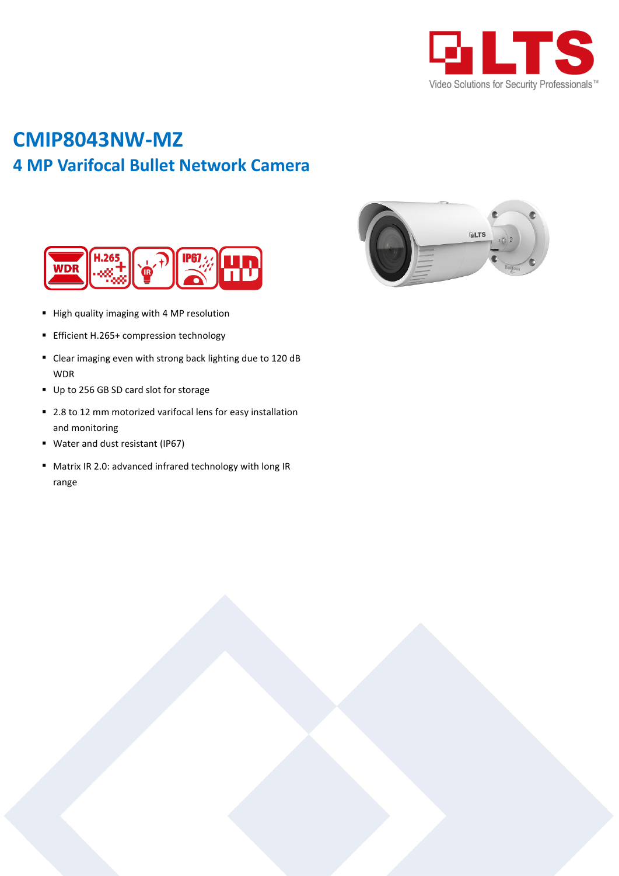

# **CMIP8043NW-MZ 4 MP Varifocal Bullet Network Camera**





- High quality imaging with 4 MP resolution
- **Efficient H.265+ compression technology**
- Clear imaging even with strong back lighting due to 120 dB WDR
- Up to 256 GB SD card slot for storage
- 2.8 to 12 mm motorized varifocal lens for easy installation and monitoring
- Water and dust resistant (IP67)
- Matrix IR 2.0: advanced infrared technology with long IR range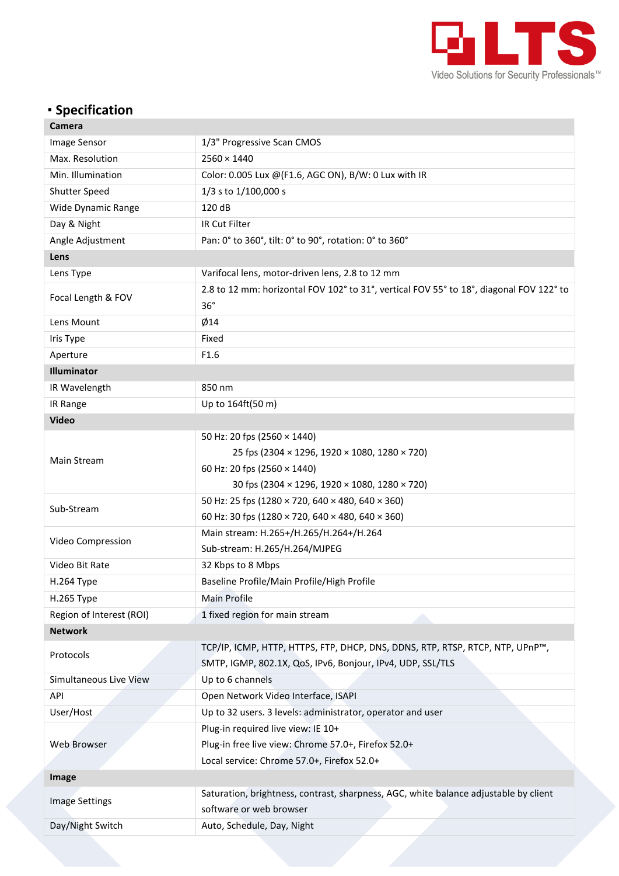

## **Specification**

| Camera                   |                                                                                                |  |  |  |  |  |
|--------------------------|------------------------------------------------------------------------------------------------|--|--|--|--|--|
| Image Sensor             | 1/3" Progressive Scan CMOS                                                                     |  |  |  |  |  |
| Max. Resolution          | $2560 \times 1440$                                                                             |  |  |  |  |  |
| Min. Illumination        | Color: 0.005 Lux @(F1.6, AGC ON), B/W: 0 Lux with IR                                           |  |  |  |  |  |
| <b>Shutter Speed</b>     | 1/3 s to 1/100,000 s                                                                           |  |  |  |  |  |
| Wide Dynamic Range       | 120 dB                                                                                         |  |  |  |  |  |
| Day & Night              | IR Cut Filter                                                                                  |  |  |  |  |  |
| Angle Adjustment         | Pan: 0° to 360°, tilt: 0° to 90°, rotation: 0° to 360°                                         |  |  |  |  |  |
| Lens                     |                                                                                                |  |  |  |  |  |
| Lens Type                | Varifocal lens, motor-driven lens, 2.8 to 12 mm                                                |  |  |  |  |  |
| Focal Length & FOV       | 2.8 to 12 mm: horizontal FOV 102° to 31°, vertical FOV 55° to 18°, diagonal FOV 122° to<br>36° |  |  |  |  |  |
| Lens Mount               | Ø14                                                                                            |  |  |  |  |  |
| Iris Type                | Fixed                                                                                          |  |  |  |  |  |
| Aperture                 | F1.6                                                                                           |  |  |  |  |  |
| Illuminator              |                                                                                                |  |  |  |  |  |
| IR Wavelength            | 850 nm                                                                                         |  |  |  |  |  |
| IR Range                 | Up to 164ft(50 m)                                                                              |  |  |  |  |  |
| <b>Video</b>             |                                                                                                |  |  |  |  |  |
|                          | 50 Hz: 20 fps (2560 × 1440)                                                                    |  |  |  |  |  |
|                          | 25 fps (2304 × 1296, 1920 × 1080, 1280 × 720)                                                  |  |  |  |  |  |
| Main Stream              | 60 Hz: 20 fps (2560 × 1440)                                                                    |  |  |  |  |  |
|                          | 30 fps (2304 × 1296, 1920 × 1080, 1280 × 720)                                                  |  |  |  |  |  |
| Sub-Stream               | 50 Hz: 25 fps (1280 × 720, 640 × 480, 640 × 360)                                               |  |  |  |  |  |
|                          | 60 Hz: 30 fps (1280 × 720, 640 × 480, 640 × 360)                                               |  |  |  |  |  |
| Video Compression        | Main stream: H.265+/H.265/H.264+/H.264                                                         |  |  |  |  |  |
|                          | Sub-stream: H.265/H.264/MJPEG                                                                  |  |  |  |  |  |
| Video Bit Rate           | 32 Kbps to 8 Mbps                                                                              |  |  |  |  |  |
| H.264 Type               | Baseline Profile/Main Profile/High Profile                                                     |  |  |  |  |  |
| H.265 Type               | Main Profile                                                                                   |  |  |  |  |  |
| Region of Interest (ROI) | 1 fixed region for main stream                                                                 |  |  |  |  |  |
| <b>Network</b>           |                                                                                                |  |  |  |  |  |
| Protocols                | TCP/IP, ICMP, HTTP, HTTPS, FTP, DHCP, DNS, DDNS, RTP, RTSP, RTCP, NTP, UPnP™,                  |  |  |  |  |  |
|                          | SMTP, IGMP, 802.1X, QoS, IPv6, Bonjour, IPv4, UDP, SSL/TLS                                     |  |  |  |  |  |
| Simultaneous Live View   | Up to 6 channels                                                                               |  |  |  |  |  |
| API                      | Open Network Video Interface, ISAPI                                                            |  |  |  |  |  |
| User/Host                | Up to 32 users. 3 levels: administrator, operator and user                                     |  |  |  |  |  |
| Web Browser              | Plug-in required live view: IE 10+                                                             |  |  |  |  |  |
|                          | Plug-in free live view: Chrome 57.0+, Firefox 52.0+                                            |  |  |  |  |  |
|                          | Local service: Chrome 57.0+, Firefox 52.0+                                                     |  |  |  |  |  |
| Image                    |                                                                                                |  |  |  |  |  |
| <b>Image Settings</b>    | Saturation, brightness, contrast, sharpness, AGC, white balance adjustable by client           |  |  |  |  |  |
|                          | software or web browser                                                                        |  |  |  |  |  |
| Day/Night Switch         | Auto, Schedule, Day, Night                                                                     |  |  |  |  |  |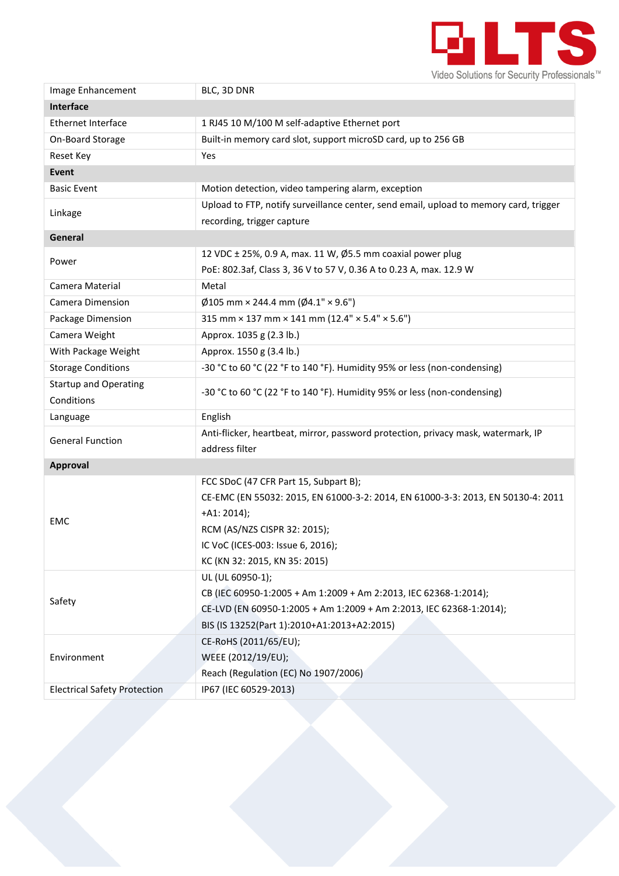

| Image Enhancement                   | BLC, 3D DNR                                                                           |  |  |  |  |  |
|-------------------------------------|---------------------------------------------------------------------------------------|--|--|--|--|--|
| Interface                           |                                                                                       |  |  |  |  |  |
| Ethernet Interface                  | 1 RJ45 10 M/100 M self-adaptive Ethernet port                                         |  |  |  |  |  |
| On-Board Storage                    | Built-in memory card slot, support microSD card, up to 256 GB                         |  |  |  |  |  |
| <b>Reset Key</b>                    | Yes                                                                                   |  |  |  |  |  |
| Event                               |                                                                                       |  |  |  |  |  |
| <b>Basic Event</b>                  | Motion detection, video tampering alarm, exception                                    |  |  |  |  |  |
| Linkage                             | Upload to FTP, notify surveillance center, send email, upload to memory card, trigger |  |  |  |  |  |
|                                     | recording, trigger capture                                                            |  |  |  |  |  |
| General                             |                                                                                       |  |  |  |  |  |
| Power                               | 12 VDC ± 25%, 0.9 A, max. 11 W, Ø5.5 mm coaxial power plug                            |  |  |  |  |  |
|                                     | PoE: 802.3af, Class 3, 36 V to 57 V, 0.36 A to 0.23 A, max. 12.9 W                    |  |  |  |  |  |
| Camera Material                     | Metal                                                                                 |  |  |  |  |  |
| Camera Dimension                    | $\emptyset$ 105 mm × 244.4 mm ( $\emptyset$ 4.1" × 9.6")                              |  |  |  |  |  |
| Package Dimension                   | 315 mm × 137 mm × 141 mm (12.4" × 5.4" × 5.6")                                        |  |  |  |  |  |
| Camera Weight                       | Approx. 1035 g (2.3 lb.)                                                              |  |  |  |  |  |
| With Package Weight                 | Approx. 1550 g (3.4 lb.)                                                              |  |  |  |  |  |
| <b>Storage Conditions</b>           | -30 °C to 60 °C (22 °F to 140 °F). Humidity 95% or less (non-condensing)              |  |  |  |  |  |
| <b>Startup and Operating</b>        |                                                                                       |  |  |  |  |  |
| Conditions                          | -30 °C to 60 °C (22 °F to 140 °F). Humidity 95% or less (non-condensing)              |  |  |  |  |  |
| Language                            | English                                                                               |  |  |  |  |  |
| <b>General Function</b>             | Anti-flicker, heartbeat, mirror, password protection, privacy mask, watermark, IP     |  |  |  |  |  |
|                                     | address filter                                                                        |  |  |  |  |  |
| Approval                            |                                                                                       |  |  |  |  |  |
|                                     | FCC SDoC (47 CFR Part 15, Subpart B);                                                 |  |  |  |  |  |
|                                     | CE-EMC (EN 55032: 2015, EN 61000-3-2: 2014, EN 61000-3-3: 2013, EN 50130-4: 2011      |  |  |  |  |  |
| <b>EMC</b>                          | $+A1:2014);$                                                                          |  |  |  |  |  |
|                                     | RCM (AS/NZS CISPR 32: 2015);                                                          |  |  |  |  |  |
|                                     | IC VoC (ICES-003: Issue 6, 2016);                                                     |  |  |  |  |  |
|                                     | KC (KN 32: 2015, KN 35: 2015)                                                         |  |  |  |  |  |
| Safety                              | UL (UL 60950-1);                                                                      |  |  |  |  |  |
|                                     | CB (IEC 60950-1:2005 + Am 1:2009 + Am 2:2013, IEC 62368-1:2014);                      |  |  |  |  |  |
|                                     | CE-LVD (EN 60950-1:2005 + Am 1:2009 + Am 2:2013, IEC 62368-1:2014);                   |  |  |  |  |  |
|                                     | BIS (IS 13252(Part 1):2010+A1:2013+A2:2015)                                           |  |  |  |  |  |
| Environment                         | CE-RoHS (2011/65/EU);                                                                 |  |  |  |  |  |
|                                     | WEEE (2012/19/EU);                                                                    |  |  |  |  |  |
|                                     | Reach (Regulation (EC) No 1907/2006)                                                  |  |  |  |  |  |
| <b>Electrical Safety Protection</b> | IP67 (IEC 60529-2013)                                                                 |  |  |  |  |  |